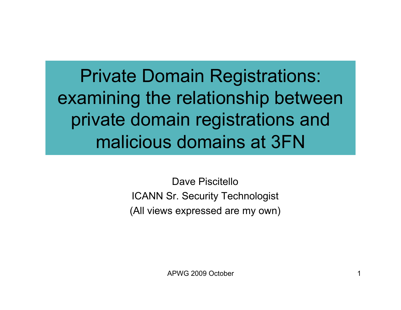Private Domain Registrations: examining the relationship between private domain registrations and malicious domains at 3FN

> Dave Piscitello ICANN Sr. Security Technologist (All views expressed are my own)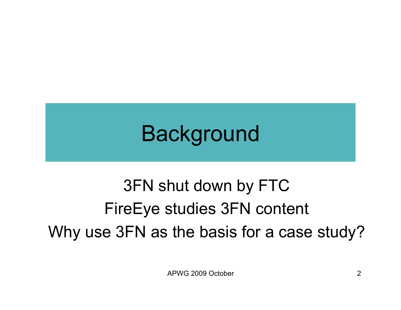## Background

#### 3FN shut down by FTC FireEye studies 3FN content Why use 3FN as the basis for a case study?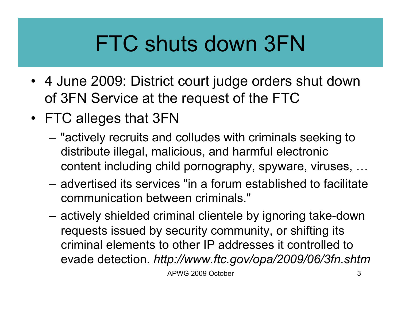## FTC shuts down 3FN

- 4 June 2009: District court judge orders shut down of 3FN Service at the request of the FTC
- FTC alleges that 3FN
	- "actively recruits and colludes with criminals seeking to distribute illegal, malicious, and harmful electronic content including child pornography, spyware, viruses, …
	- advertised its services "in a forum established to facilitate communication between criminals."
	- actively shielded criminal clientele by ignoring take-down requests issued by security community, or shifting its criminal elements to other IP addresses it controlled to evade detection. *http://www.ftc.gov/opa/2009/06/3fn.shtm*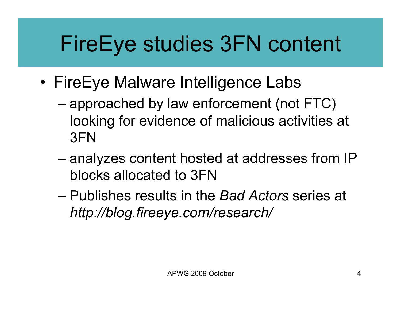## FireEye studies 3FN content

- FireEye Malware Intelligence Labs
	- approached by law enforcement (not FTC) looking for evidence of malicious activities at 3FN
	- analyzes content hosted at addresses from IP blocks allocated to 3FN
	- Publishes results in the *Bad Actors* series at *http://blog.fireeye.com/research/*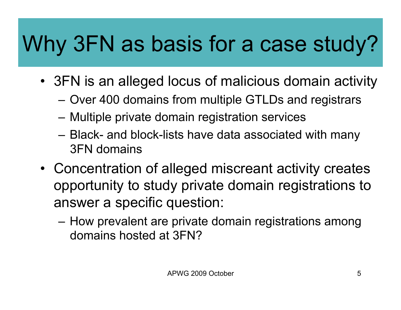## Why 3FN as basis for a case study?

- 3FN is an alleged locus of malicious domain activity
	- Over 400 domains from multiple GTLDs and registrars
	- Multiple private domain registration services
	- Black- and block-lists have data associated with many 3FN domains
- Concentration of alleged miscreant activity creates opportunity to study private domain registrations to answer a specific question:
	- How prevalent are private domain registrations among domains hosted at 3FN?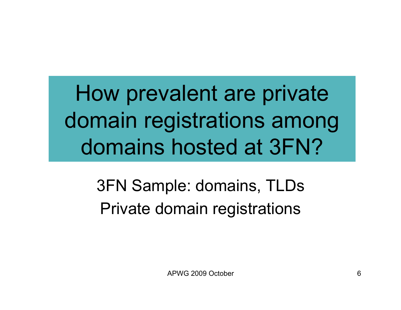How prevalent are private domain registrations among domains hosted at 3FN?

> 3FN Sample: domains, TLDs Private domain registrations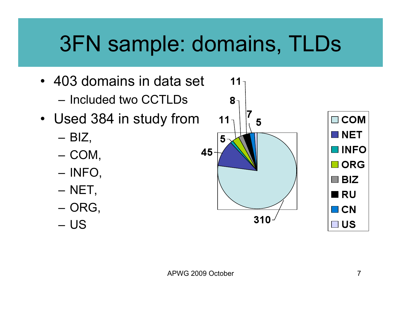## 3FN sample: domains, TLDs

- 403 domains in data set
	- Included two CCTLDs
- Used 384 in study from
	- $-$  BIZ,
	- COM,
	- INFO,
	- NET,
	- ORG,
	- US

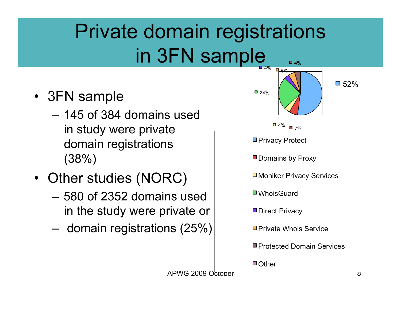#### Private domain registrations in 3FN sample  $\Box$  4%

- 3FN sample
	- 145 of 384 domains used in study were private domain registrations (38%)
- Other studies (NORC)
	- 580 of 2352 domains used in the study were private or
	- domain registrations (25%)

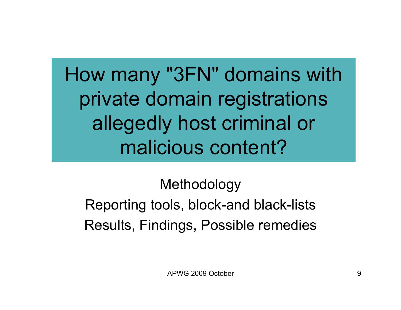How many "3FN" domains with private domain registrations allegedly host criminal or malicious content?

#### Methodology Reporting tools, block-and black-lists Results, Findings, Possible remedies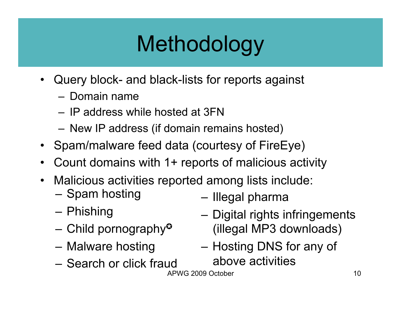## Methodology

- Query block- and black-lists for reports against
	- Domain name
	- IP address while hosted at 3FN
	- New IP address (if domain remains hosted)
- Spam/malware feed data (courtesy of FireEye)
- Count domains with 1+ reports of malicious activity
- Malicious activities reported among lists include:
	- Spam hosting
	- Phishing
	- Child pornography<sup> $\circ$ </sup>
	- Malware hosting
	- Search or click fraud
- Illegal pharma
- Digital rights infringements (illegal MP3 downloads)
- Hosting DNS for any of above activities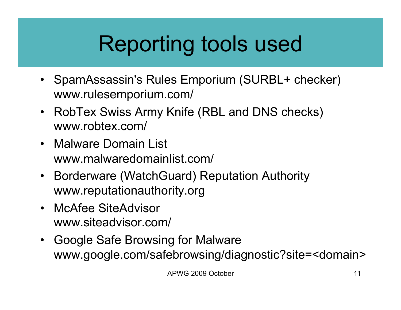# Reporting tools used

- SpamAssassin's Rules Emporium (SURBL+ checker) www.rulesemporium.com/
- RobTex Swiss Army Knife (RBL and DNS checks) www.robtex.com/
- Malware Domain List www.malwaredomainlist.com/
- Borderware (WatchGuard) Reputation Authority www.reputationauthority.org
- McAfee SiteAdvisor www.siteadvisor.com/
- Google Safe Browsing for Malware www.google.com/safebrowsing/diagnostic?site=<domain>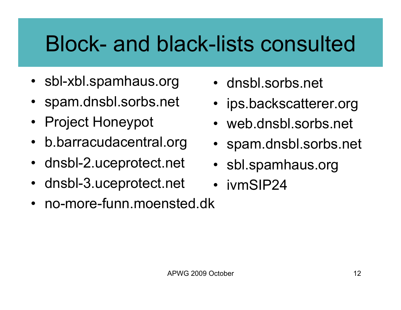## Block- and black-lists consulted

- sbl-xbl.spamhaus.org
- spam.dnsbl.sorbs.net
- Project Honeypot
- b.barracudacentral.org
- dnsbl-2.uceprotect.net
- dnsbl-3.uceprotect.net
- no-more-funn.moensted.dk
- dnsbl.sorbs.net
- ips.backscatterer.org
- web.dnsbl.sorbs.net
- spam.dnsbl.sorbs.net
- sbl.spamhaus.org
- ivmSIP24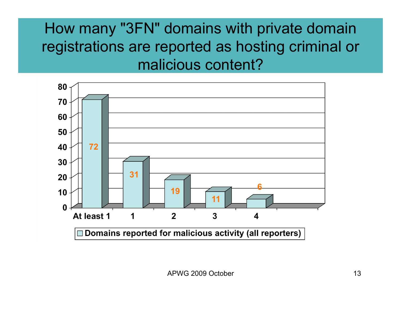#### How many "3FN" domains with private domain registrations are reported as hosting criminal or malicious content?

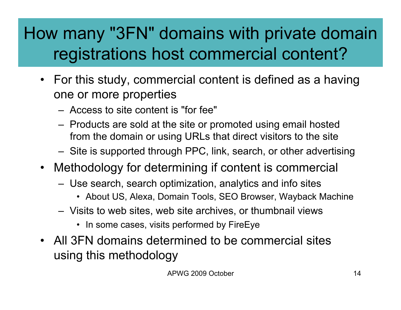#### How many "3FN" domains with private domain registrations host commercial content?

- For this study, commercial content is defined as a having one or more properties
	- Access to site content is "for fee"
	- Products are sold at the site or promoted using email hosted from the domain or using URLs that direct visitors to the site
	- Site is supported through PPC, link, search, or other advertising
- Methodology for determining if content is commercial
	- Use search, search optimization, analytics and info sites
		- About US, Alexa, Domain Tools, SEO Browser, Wayback Machine
	- Visits to web sites, web site archives, or thumbnail views
		- In some cases, visits performed by FireEye
- All 3FN domains determined to be commercial sites using this methodology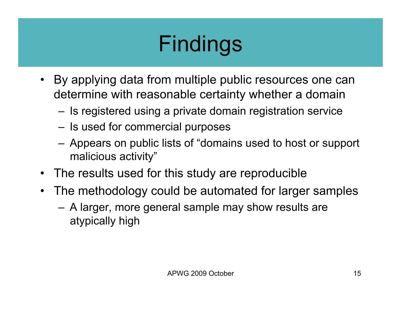# Findings

- By applying data from multiple public resources one can determine with reasonable certainty whether a domain
	- Is registered using a private domain registration service
	- Is used for commercial purposes
	- Appears on public lists of "domains used to host or support malicious activity"
- The results used for this study are reproducible
- The methodology could be automated for larger samples
	- A larger, more general sample may show results are atypically high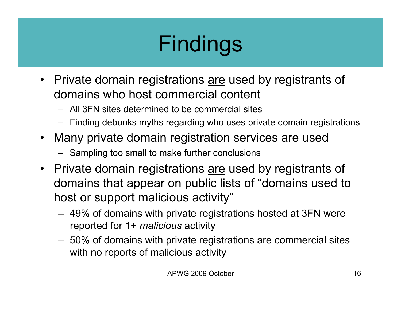# Findings

- Private domain registrations are used by registrants of domains who host commercial content
	- All 3FN sites determined to be commercial sites
	- Finding debunks myths regarding who uses private domain registrations
- Many private domain registration services are used
	- Sampling too small to make further conclusions
- Private domain registrations are used by registrants of domains that appear on public lists of "domains used to host or support malicious activity"
	- 49% of domains with private registrations hosted at 3FN were reported for 1+ *malicious* activity
	- 50% of domains with private registrations are commercial sites with no reports of malicious activity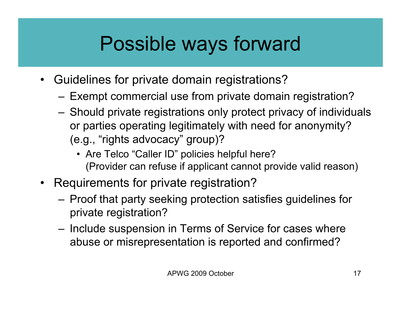#### Possible ways forward

- Guidelines for private domain registrations?
	- Exempt commercial use from private domain registration?
	- Should private registrations only protect privacy of individuals or parties operating legitimately with need for anonymity? (e.g., "rights advocacy" group)?
		- Are Telco "Caller ID" policies helpful here? (Provider can refuse if applicant cannot provide valid reason)
- Requirements for private registration?
	- Proof that party seeking protection satisfies guidelines for private registration?
	- Include suspension in Terms of Service for cases where abuse or misrepresentation is reported and confirmed?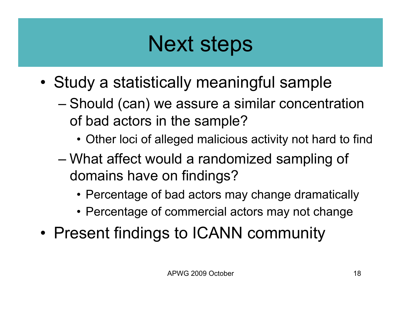## Next steps

- Study a statistically meaningful sample
	- Should (can) we assure a similar concentration of bad actors in the sample?
		- Other loci of alleged malicious activity not hard to find
	- What affect would a randomized sampling of domains have on findings?
		- Percentage of bad actors may change dramatically
		- Percentage of commercial actors may not change
- Present findings to ICANN community